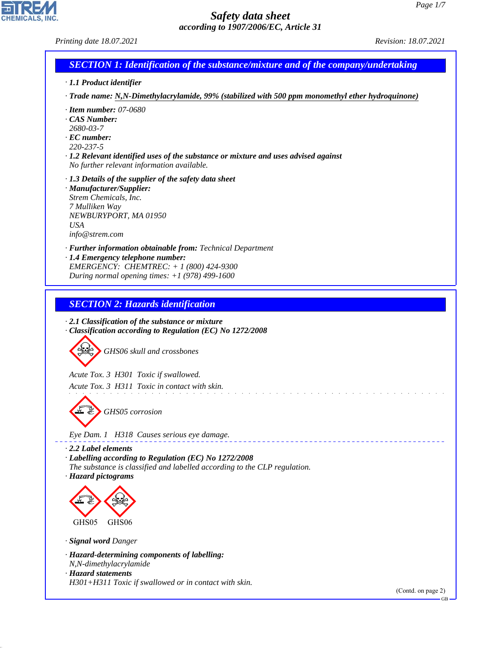*Printing date 18.07.2021 Revision: 18.07.2021*

# *SECTION 1: Identification of the substance/mixture and of the company/undertaking*

- *· 1.1 Product identifier*
- *· Trade name: N,N-Dimethylacrylamide, 99% (stabilized with 500 ppm monomethyl ether hydroquinone)*

and a straight and a straight

- *· Item number: 07-0680*
- *· CAS Number:*
- *2680-03-7*
- *· EC number:*
- *220-237-5*
- *· 1.2 Relevant identified uses of the substance or mixture and uses advised against No further relevant information available.*
- *· 1.3 Details of the supplier of the safety data sheet*
- *· Manufacturer/Supplier: Strem Chemicals, Inc. 7 Mulliken Way NEWBURYPORT, MA 01950 USA info@strem.com*
- *· Further information obtainable from: Technical Department · 1.4 Emergency telephone number: EMERGENCY: CHEMTREC: + 1 (800) 424-9300*
- *During normal opening times: +1 (978) 499-1600*

### *SECTION 2: Hazards identification*

*· 2.1 Classification of the substance or mixture · Classification according to Regulation (EC) No 1272/2008*



*Acute Tox. 3 H301 Toxic if swallowed.*

*Acute Tox. 3 H311 Toxic in contact with skin.*



*Eye Dam. 1 H318 Causes serious eye damage.*

*· 2.2 Label elements · Labelling according to Regulation (EC) No 1272/2008 The substance is classified and labelled according to the CLP regulation. · Hazard pictograms*



*· Signal word Danger*

44.1.1

- *· Hazard-determining components of labelling: N,N-dimethylacrylamide*
- *· Hazard statements H301+H311 Toxic if swallowed or in contact with skin.*

(Contd. on page 2)

GB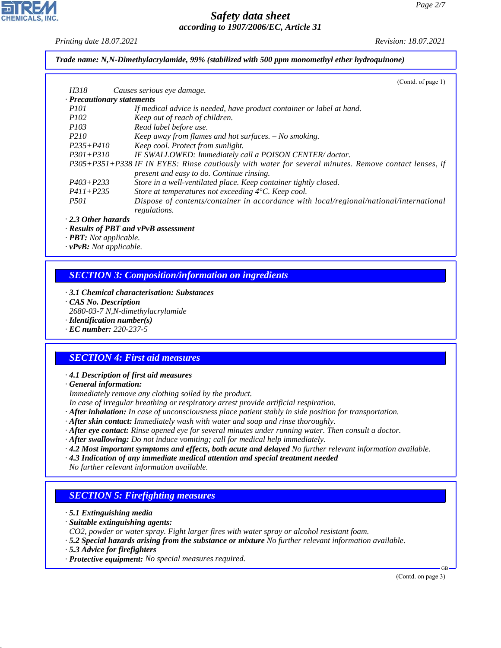*Printing date 18.07.2021 Revision: 18.07.2021*

*Trade name: N,N-Dimethylacrylamide, 99% (stabilized with 500 ppm monomethyl ether hydroquinone)*

|                  | (Contd. of page 1)                                                                                     |
|------------------|--------------------------------------------------------------------------------------------------------|
| H318             | Causes serious eye damage.                                                                             |
|                  | $\cdot$ Precautionary statements                                                                       |
| <i>P101</i>      | If medical advice is needed, have product container or label at hand.                                  |
| <i>P102</i>      | Keep out of reach of children.                                                                         |
| <i>P103</i>      | Read label before use.                                                                                 |
| P <sub>210</sub> | <i>Keep away from flames and hot surfaces. <math>-</math> No smoking.</i>                              |
| $P235 + P410$    | Keep cool. Protect from sunlight.                                                                      |
| $P301 + P310$    | IF SWALLOWED: Immediately call a POISON CENTER/doctor.                                                 |
|                  | P305+P351+P338 IF IN EYES: Rinse cautiously with water for several minutes. Remove contact lenses, if  |
|                  | present and easy to do. Continue rinsing.                                                              |
| $P403 + P233$    | Store in a well-ventilated place. Keep container tightly closed.                                       |
| $P411 + P235$    | Store at temperatures not exceeding $4^{\circ}$ C. Keep cool.                                          |
| <i>P501</i>      | Dispose of contents/container in accordance with local/regional/national/international<br>regulations. |
|                  |                                                                                                        |

#### *· 2.3 Other hazards*

*· Results of PBT and vPvB assessment*

*· PBT: Not applicable.*

*· vPvB: Not applicable.*

## *SECTION 3: Composition/information on ingredients*

- *· 3.1 Chemical characterisation: Substances*
- *· CAS No. Description*
- *2680-03-7 N,N-dimethylacrylamide*
- *· Identification number(s)*
- *· EC number: 220-237-5*

### *SECTION 4: First aid measures*

#### *· 4.1 Description of first aid measures*

*· General information:*

*Immediately remove any clothing soiled by the product.*

*In case of irregular breathing or respiratory arrest provide artificial respiration.*

- *· After inhalation: In case of unconsciousness place patient stably in side position for transportation.*
- *· After skin contact: Immediately wash with water and soap and rinse thoroughly.*
- *· After eye contact: Rinse opened eye for several minutes under running water. Then consult a doctor.*
- *· After swallowing: Do not induce vomiting; call for medical help immediately.*
- *· 4.2 Most important symptoms and effects, both acute and delayed No further relevant information available.*
- *· 4.3 Indication of any immediate medical attention and special treatment needed*
- *No further relevant information available.*

### *SECTION 5: Firefighting measures*

- *· 5.1 Extinguishing media*
- *· Suitable extinguishing agents:*
- *CO2, powder or water spray. Fight larger fires with water spray or alcohol resistant foam.*
- *· 5.2 Special hazards arising from the substance or mixture No further relevant information available.*
- *· 5.3 Advice for firefighters*

44.1.1

*· Protective equipment: No special measures required.*

(Contd. on page 3)

GB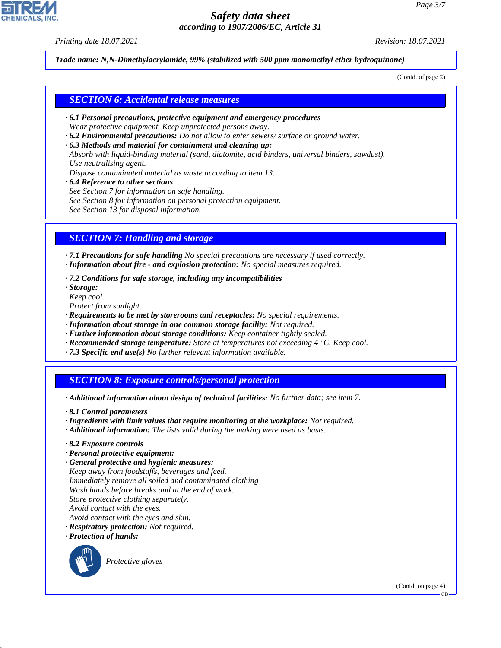*Printing date 18.07.2021 Revision: 18.07.2021*

*Trade name: N,N-Dimethylacrylamide, 99% (stabilized with 500 ppm monomethyl ether hydroquinone)*

(Contd. of page 2)

#### *SECTION 6: Accidental release measures*

- *· 6.1 Personal precautions, protective equipment and emergency procedures Wear protective equipment. Keep unprotected persons away.*
- *· 6.2 Environmental precautions: Do not allow to enter sewers/ surface or ground water.*
- *· 6.3 Methods and material for containment and cleaning up:*
- *Absorb with liquid-binding material (sand, diatomite, acid binders, universal binders, sawdust). Use neutralising agent.*
- *Dispose contaminated material as waste according to item 13.*
- *· 6.4 Reference to other sections*
- *See Section 7 for information on safe handling.*
- *See Section 8 for information on personal protection equipment.*
- *See Section 13 for disposal information.*

### *SECTION 7: Handling and storage*

*· 7.1 Precautions for safe handling No special precautions are necessary if used correctly. · Information about fire - and explosion protection: No special measures required.*

*· 7.2 Conditions for safe storage, including any incompatibilities*

*· Storage:*

*Keep cool.*

- *Protect from sunlight.*
- *· Requirements to be met by storerooms and receptacles: No special requirements.*
- *· Information about storage in one common storage facility: Not required.*
- *· Further information about storage conditions: Keep container tightly sealed.*
- *· Recommended storage temperature: Store at temperatures not exceeding 4 °C. Keep cool.*
- *· 7.3 Specific end use(s) No further relevant information available.*

### *SECTION 8: Exposure controls/personal protection*

- *· Additional information about design of technical facilities: No further data; see item 7.*
- *· 8.1 Control parameters*
- *· Ingredients with limit values that require monitoring at the workplace: Not required.*
- *· Additional information: The lists valid during the making were used as basis.*
- *· 8.2 Exposure controls*
- *· Personal protective equipment:*
- *· General protective and hygienic measures: Keep away from foodstuffs, beverages and feed. Immediately remove all soiled and contaminated clothing Wash hands before breaks and at the end of work. Store protective clothing separately. Avoid contact with the eyes. Avoid contact with the eyes and skin. · Respiratory protection: Not required.*
- *· Protection of hands:*



44.1.1

\_S*Protective gloves*

(Contd. on page 4)

GB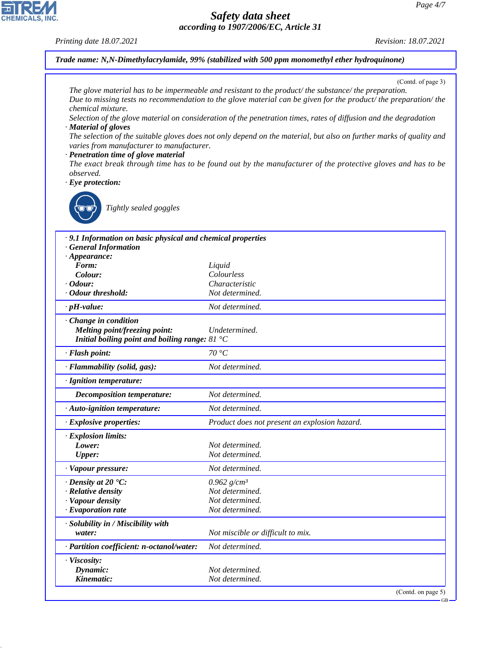

44.1.1

*Printing date 18.07.2021 Revision: 18.07.2021*

*Trade name: N,N-Dimethylacrylamide, 99% (stabilized with 500 ppm monomethyl ether hydroquinone)*

(Contd. of page 3)

| chemical mixture.<br>· Material of gloves<br>varies from manufacturer to manufacturer.<br>· Penetration time of glove material<br>observed.<br>$\cdot$ Eye protection:<br>Tightly sealed goggles | (Contd. of page $3$ )<br>The glove material has to be impermeable and resistant to the product/the substance/the preparation.<br>Due to missing tests no recommendation to the glove material can be given for the product/ the preparation/ the<br>Selection of the glove material on consideration of the penetration times, rates of diffusion and the degradation<br>The selection of the suitable gloves does not only depend on the material, but also on further marks of quality and<br>The exact break through time has to be found out by the manufacturer of the protective gloves and has to be |
|--------------------------------------------------------------------------------------------------------------------------------------------------------------------------------------------------|-------------------------------------------------------------------------------------------------------------------------------------------------------------------------------------------------------------------------------------------------------------------------------------------------------------------------------------------------------------------------------------------------------------------------------------------------------------------------------------------------------------------------------------------------------------------------------------------------------------|
| · 9.1 Information on basic physical and chemical properties                                                                                                                                      |                                                                                                                                                                                                                                                                                                                                                                                                                                                                                                                                                                                                             |
| <b>General Information</b>                                                                                                                                                                       |                                                                                                                                                                                                                                                                                                                                                                                                                                                                                                                                                                                                             |
| $\cdot$ Appearance:                                                                                                                                                                              |                                                                                                                                                                                                                                                                                                                                                                                                                                                                                                                                                                                                             |
| Form:                                                                                                                                                                                            | Liquid<br>Colourless                                                                                                                                                                                                                                                                                                                                                                                                                                                                                                                                                                                        |
| Colour:<br>$\cdot$ Odour:                                                                                                                                                                        | Characteristic                                                                                                                                                                                                                                                                                                                                                                                                                                                                                                                                                                                              |
| · Odour threshold:                                                                                                                                                                               | Not determined.                                                                                                                                                                                                                                                                                                                                                                                                                                                                                                                                                                                             |
| $\cdot$ pH-value:                                                                                                                                                                                | Not determined.                                                                                                                                                                                                                                                                                                                                                                                                                                                                                                                                                                                             |
| · Change in condition                                                                                                                                                                            |                                                                                                                                                                                                                                                                                                                                                                                                                                                                                                                                                                                                             |
| <b>Melting point/freezing point:</b>                                                                                                                                                             | Undetermined.                                                                                                                                                                                                                                                                                                                                                                                                                                                                                                                                                                                               |
| Initial boiling point and boiling range: $81^{\circ}$ C                                                                                                                                          |                                                                                                                                                                                                                                                                                                                                                                                                                                                                                                                                                                                                             |
| · Flash point:                                                                                                                                                                                   | 70 °C                                                                                                                                                                                                                                                                                                                                                                                                                                                                                                                                                                                                       |
| · Flammability (solid, gas):                                                                                                                                                                     | Not determined.                                                                                                                                                                                                                                                                                                                                                                                                                                                                                                                                                                                             |
| · Ignition temperature:                                                                                                                                                                          |                                                                                                                                                                                                                                                                                                                                                                                                                                                                                                                                                                                                             |
| <b>Decomposition temperature:</b>                                                                                                                                                                | Not determined.                                                                                                                                                                                                                                                                                                                                                                                                                                                                                                                                                                                             |
| · Auto-ignition temperature:                                                                                                                                                                     | Not determined.                                                                                                                                                                                                                                                                                                                                                                                                                                                                                                                                                                                             |
| · Explosive properties:                                                                                                                                                                          | Product does not present an explosion hazard.                                                                                                                                                                                                                                                                                                                                                                                                                                                                                                                                                               |
| · Explosion limits:                                                                                                                                                                              |                                                                                                                                                                                                                                                                                                                                                                                                                                                                                                                                                                                                             |
| Lower:                                                                                                                                                                                           | Not determined.                                                                                                                                                                                                                                                                                                                                                                                                                                                                                                                                                                                             |
| Upper:                                                                                                                                                                                           | Not determined.                                                                                                                                                                                                                                                                                                                                                                                                                                                                                                                                                                                             |
| · Vapour pressure:                                                                                                                                                                               | Not determined.                                                                                                                                                                                                                                                                                                                                                                                                                                                                                                                                                                                             |
| $\cdot$ Density at 20 $\textdegree$ C:                                                                                                                                                           | 0.962 $g/cm^3$                                                                                                                                                                                                                                                                                                                                                                                                                                                                                                                                                                                              |
| · Relative density                                                                                                                                                                               | Not determined.                                                                                                                                                                                                                                                                                                                                                                                                                                                                                                                                                                                             |
| · Vapour density<br>$\cdot$ Evaporation rate                                                                                                                                                     | Not determined.<br>Not determined.                                                                                                                                                                                                                                                                                                                                                                                                                                                                                                                                                                          |
|                                                                                                                                                                                                  |                                                                                                                                                                                                                                                                                                                                                                                                                                                                                                                                                                                                             |
| · Solubility in / Miscibility with<br>water:                                                                                                                                                     | Not miscible or difficult to mix.                                                                                                                                                                                                                                                                                                                                                                                                                                                                                                                                                                           |
| · Partition coefficient: n-octanol/water:                                                                                                                                                        | Not determined.                                                                                                                                                                                                                                                                                                                                                                                                                                                                                                                                                                                             |
| · Viscosity:                                                                                                                                                                                     |                                                                                                                                                                                                                                                                                                                                                                                                                                                                                                                                                                                                             |
| Dynamic:                                                                                                                                                                                         | Not determined.                                                                                                                                                                                                                                                                                                                                                                                                                                                                                                                                                                                             |
| Kinematic:                                                                                                                                                                                       | Not determined.                                                                                                                                                                                                                                                                                                                                                                                                                                                                                                                                                                                             |
|                                                                                                                                                                                                  | (Contd. on page 5)                                                                                                                                                                                                                                                                                                                                                                                                                                                                                                                                                                                          |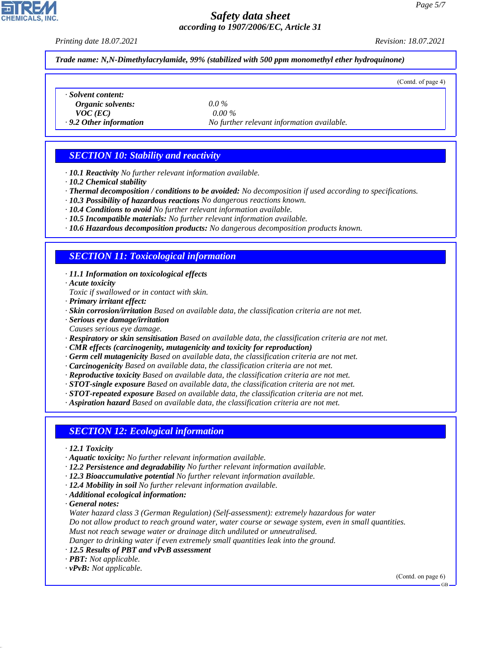*Printing date 18.07.2021 Revision: 18.07.2021*

(Contd. of page 4)

*Trade name: N,N-Dimethylacrylamide, 99% (stabilized with 500 ppm monomethyl ether hydroquinone)*

*· Solvent content: Organic solvents: 0.0 %*

*VOC (EC) 0.00 %*

*· 9.2 Other information No further relevant information available.*

## *SECTION 10: Stability and reactivity*

*· 10.1 Reactivity No further relevant information available.*

*· 10.2 Chemical stability*

*· Thermal decomposition / conditions to be avoided: No decomposition if used according to specifications.*

- *· 10.3 Possibility of hazardous reactions No dangerous reactions known.*
- *· 10.4 Conditions to avoid No further relevant information available.*
- *· 10.5 Incompatible materials: No further relevant information available.*
- *· 10.6 Hazardous decomposition products: No dangerous decomposition products known.*

#### *SECTION 11: Toxicological information*

*· 11.1 Information on toxicological effects*

*· Acute toxicity*

- *Toxic if swallowed or in contact with skin.*
- *· Primary irritant effect:*
- *· Skin corrosion/irritation Based on available data, the classification criteria are not met.*
- *· Serious eye damage/irritation*
- *Causes serious eye damage.*
- *· Respiratory or skin sensitisation Based on available data, the classification criteria are not met.*
- *· CMR effects (carcinogenity, mutagenicity and toxicity for reproduction)*
- *· Germ cell mutagenicity Based on available data, the classification criteria are not met.*
- *· Carcinogenicity Based on available data, the classification criteria are not met.*
- *· Reproductive toxicity Based on available data, the classification criteria are not met.*
- *· STOT-single exposure Based on available data, the classification criteria are not met.*
- *· STOT-repeated exposure Based on available data, the classification criteria are not met.*
- *· Aspiration hazard Based on available data, the classification criteria are not met.*

#### *SECTION 12: Ecological information*

- *· 12.1 Toxicity*
- *· Aquatic toxicity: No further relevant information available.*
- *· 12.2 Persistence and degradability No further relevant information available.*
- *· 12.3 Bioaccumulative potential No further relevant information available.*
- *· 12.4 Mobility in soil No further relevant information available.*
- *· Additional ecological information:*

*· General notes:*

*Water hazard class 3 (German Regulation) (Self-assessment): extremely hazardous for water*

*Do not allow product to reach ground water, water course or sewage system, even in small quantities.*

*Must not reach sewage water or drainage ditch undiluted or unneutralised. Danger to drinking water if even extremely small quantities leak into the ground.*

- *· 12.5 Results of PBT and vPvB assessment*
- *· PBT: Not applicable.*
- *· vPvB: Not applicable.*

44.1.1

(Contd. on page 6)



GB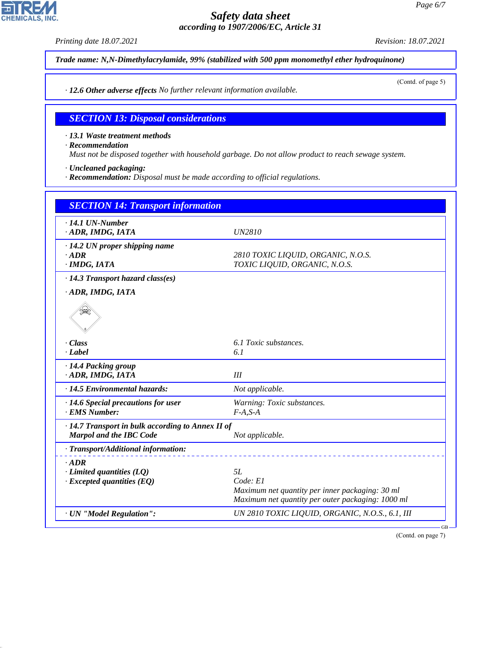*Printing date 18.07.2021 Revision: 18.07.2021 Trade name: N,N-Dimethylacrylamide, 99% (stabilized with 500 ppm monomethyl ether hydroquinone)* (Contd. of page 5) *· 12.6 Other adverse effects No further relevant information available. SECTION 13: Disposal considerations · 13.1 Waste treatment methods · Recommendation Must not be disposed together with household garbage. Do not allow product to reach sewage system. · Uncleaned packaging: · Recommendation: Disposal must be made according to official regulations. SECTION 14: Transport information · 14.1 UN-Number · ADR, IMDG, IATA UN2810 · 14.2 UN proper shipping name · ADR 2810 TOXIC LIQUID, ORGANIC, N.O.S. · IMDG, IATA TOXIC LIQUID, ORGANIC, N.O.S. · 14.3 Transport hazard class(es) · ADR, IMDG, IATA* decade de la comparador de la comparador de la comparador de la comparador de la comparador de la comparador d<br>|<br>|<br>|<br>| *· Class 6.1 Toxic substances. · Label 6.1 · 14.4 Packing group · ADR, IMDG, IATA III · 14.5 Environmental hazards: Not applicable. · 14.6 Special precautions for user Warning: Toxic substances. · EMS Number: F-A,S-A · 14.7 Transport in bulk according to Annex II of Marpol and the IBC Code Not applicable. · Transport/Additional information: · ADR <i>·* **Limited quantities (LQ)** 5L<br>*· Excepted quantities (EO) Code: E1 <i>· Excepted quantities (EQ) Maximum net quantity per inner packaging: 30 ml Maximum net quantity per outer packaging: 1000 ml*

*· UN "Model Regulation": UN 2810 TOXIC LIQUID, ORGANIC, N.O.S., 6.1, III*

44.1.1

**CHEMICALS, INC** 

(Contd. on page 7)

GB